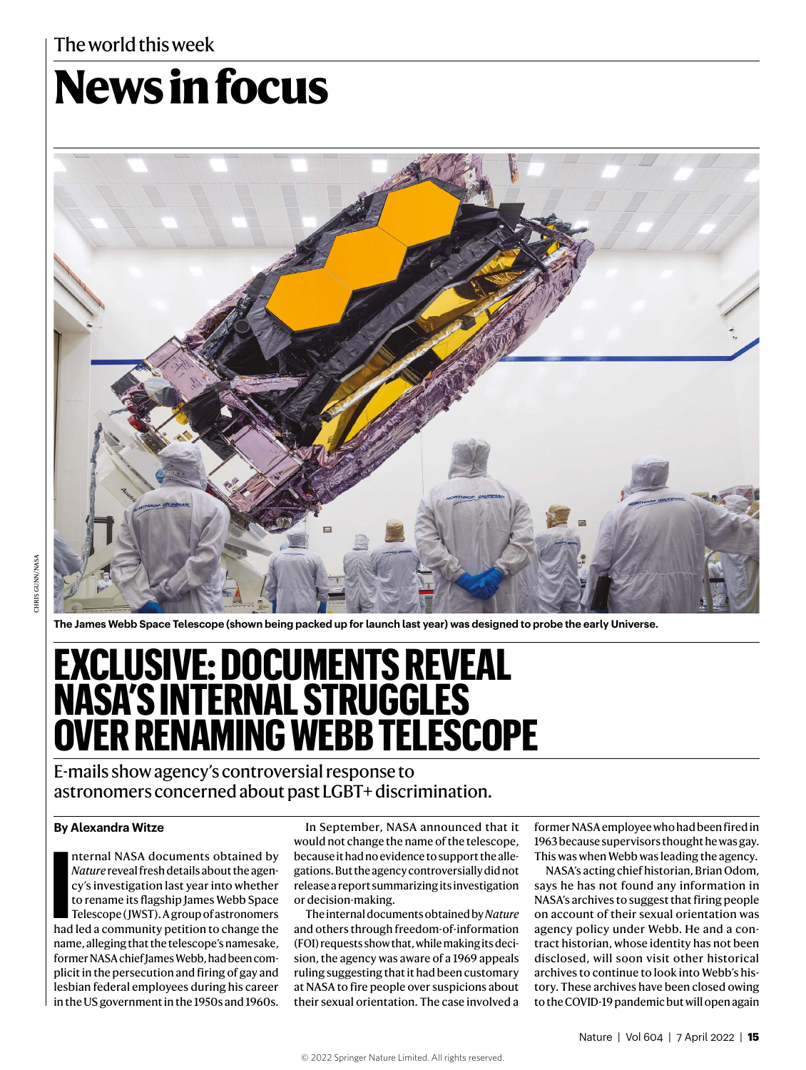## The world this week

# **News in focus**



**The James Webb Space Telescope (shown being packed up for launch last year) was designed to probe the early Universe.**

# **EXCLUSIVE: DOCUMENTS REVEAL NASA'S INTERNAL STRUGGLES OVER RENAMING WEBB TELESCOPE**

E-mails show agency's controversial response to astronomers concerned about past LGBT+ discrimination.

#### **By Alexandra Witze**

nternal NASA documents obtained by<br> *Nature* reveal fresh details about the agen-<br>
cy's investigation last year into whether<br>
to rename its flagship James Webb Space<br>
Telescope (JWST). A group of astronomers<br>
had led a com nternal NASA documents obtained by *Nature* reveal fresh details about the agency's investigation last year into whether to rename its flagship James Webb Space Telescope ( JWST). A group of astronomers name, alleging that the telescope's namesake, former NASA chief James Webb, had been complicit in the persecution and firing of gay and lesbian federal employees during his career in the US government in the 1950s and 1960s.

In September, NASA announced that it would not change the name of the telescope, because it had no evidence to support the allegations. But the agency controversially did not release a report summarizing its investigation or decision-making.

The internal documents obtained by *Nature* and others through freedom-of-information (FOI) requests show that, while making its decision, the agency was aware of a 1969 appeals ruling suggesting that it had been customary at NASA to fire people over suspicions about their sexual orientation. The case involved a former NASA employee who had been fired in 1963 because supervisors thought he was gay. This was when Webb was leading the agency.

NASA's acting chief historian, Brian Odom, says he has not found any information in NASA's archives to suggest that firing people on account of their sexual orientation was agency policy under Webb. He and a contract historian, whose identity has not been disclosed, will soon visit other historical archives to continue to look into Webb's history. These archives have been closed owing to the COVID-19 pandemic but will open again